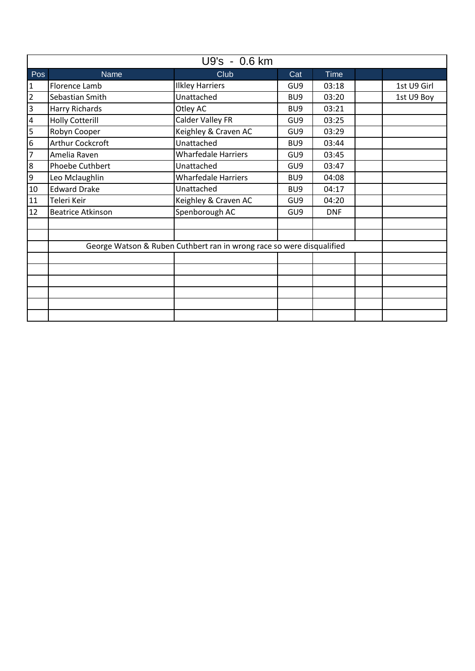| U9's - 0.6 km  |                                                                       |                            |                 |             |  |             |  |
|----------------|-----------------------------------------------------------------------|----------------------------|-----------------|-------------|--|-------------|--|
| Pos            | <b>Name</b>                                                           | Club                       | Cat             | <b>Time</b> |  |             |  |
| 1              | Florence Lamb                                                         | <b>Ilkley Harriers</b>     | GU <sub>9</sub> | 03:18       |  | 1st U9 Girl |  |
| $\overline{2}$ | Sebastian Smith                                                       | Unattached                 | BU <sub>9</sub> | 03:20       |  | 1st U9 Boy  |  |
| 3              | <b>Harry Richards</b>                                                 | Otley AC                   | BU <sub>9</sub> | 03:21       |  |             |  |
| 4              | <b>Holly Cotterill</b>                                                | Calder Valley FR           | GU <sub>9</sub> | 03:25       |  |             |  |
| 5              | Robyn Cooper                                                          | Keighley & Craven AC       | GU <sub>9</sub> | 03:29       |  |             |  |
| 6              | Arthur Cockcroft                                                      | Unattached                 | BU <sub>9</sub> | 03:44       |  |             |  |
| $\overline{7}$ | Amelia Raven                                                          | <b>Wharfedale Harriers</b> | GU <sub>9</sub> | 03:45       |  |             |  |
| 8              | Phoebe Cuthbert                                                       | Unattached                 | GU <sub>9</sub> | 03:47       |  |             |  |
| $\overline{9}$ | Leo Mclaughlin                                                        | <b>Wharfedale Harriers</b> | BU <sub>9</sub> | 04:08       |  |             |  |
| 10             | <b>Edward Drake</b>                                                   | Unattached                 | BU <sub>9</sub> | 04:17       |  |             |  |
| 11             | Teleri Keir                                                           | Keighley & Craven AC       | GU <sub>9</sub> | 04:20       |  |             |  |
| 12             | <b>Beatrice Atkinson</b>                                              | Spenborough AC             | GU <sub>9</sub> | <b>DNF</b>  |  |             |  |
|                |                                                                       |                            |                 |             |  |             |  |
|                |                                                                       |                            |                 |             |  |             |  |
|                | George Watson & Ruben Cuthbert ran in wrong race so were disqualified |                            |                 |             |  |             |  |
|                |                                                                       |                            |                 |             |  |             |  |
|                |                                                                       |                            |                 |             |  |             |  |
|                |                                                                       |                            |                 |             |  |             |  |
|                |                                                                       |                            |                 |             |  |             |  |
|                |                                                                       |                            |                 |             |  |             |  |
|                |                                                                       |                            |                 |             |  |             |  |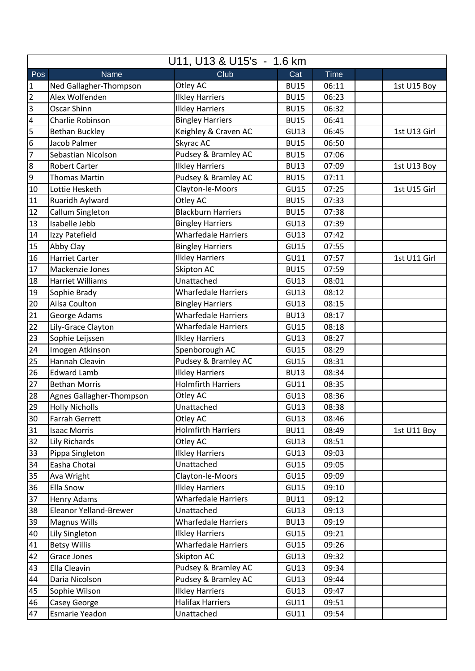| Club<br>Pos<br><b>Time</b><br>Name<br>Cat<br>Ned Gallagher-Thompson<br>Otley AC<br>$\mathbf{1}$<br><b>BU15</b><br>06:11<br>1st U15 Boy<br>$\overline{2}$<br><b>Ilkley Harriers</b><br>Alex Wolfenden<br><b>BU15</b><br>06:23<br>$\overline{3}$<br>Oscar Shinn<br><b>Ilkley Harriers</b><br><b>BU15</b><br>06:32<br><b>Bingley Harriers</b><br>$\overline{\mathbf{4}}$<br>Charlie Robinson<br><b>BU15</b><br>06:41<br>5<br>Keighley & Craven AC<br><b>Bethan Buckley</b><br>GU13<br>06:45<br>1st U13 Girl<br>6<br>Skyrac AC<br>Jacob Palmer<br><b>BU15</b><br>06:50<br>Pudsey & Bramley AC<br>7<br>Sebastian Nicolson<br><b>BU15</b><br>07:06<br><b>Ilkley Harriers</b><br>$\overline{8}$<br><b>Robert Carter</b><br>07:09<br><b>BU13</b><br>1st U13 Boy<br>Pudsey & Bramley AC<br>$\overline{9}$<br><b>Thomas Martin</b><br><b>BU15</b><br>07:11<br>10<br>Clayton-le-Moors<br>Lottie Hesketh<br><b>GU15</b><br>1st U15 Girl<br>07:25<br>Otley AC<br>11<br>Ruaridh Aylward<br><b>BU15</b><br>07:33<br>12<br><b>Blackburn Harriers</b><br>Callum Singleton<br><b>BU15</b><br>07:38<br>13<br>Isabelle Jebb<br><b>Bingley Harriers</b><br><b>GU13</b><br>07:39<br><b>Wharfedale Harriers</b><br>Izzy Patefield<br>GU13<br>14<br>07:42<br>15<br>Abby Clay<br><b>GU15</b><br><b>Bingley Harriers</b><br>07:55<br><b>Ilkley Harriers</b><br>16<br><b>Harriet Carter</b><br>GU11<br>07:57<br>1st U11 Girl<br>17<br>Skipton AC<br><b>BU15</b><br>Mackenzie Jones<br>07:59<br>18<br>Unattached<br>Harriet Williams<br><b>GU13</b><br>08:01<br>19<br>Sophie Brady<br><b>Wharfedale Harriers</b><br>GU13<br>08:12<br>20<br>Ailsa Coulton<br><b>Bingley Harriers</b><br><b>GU13</b><br>08:15<br><b>Wharfedale Harriers</b><br>21<br>George Adams<br><b>BU13</b><br>08:17<br>22<br>Lily-Grace Clayton<br><b>Wharfedale Harriers</b><br><b>GU15</b><br>08:18<br>23<br>Sophie Leijssen<br><b>Ilkley Harriers</b><br>08:27<br><b>GU13</b><br>Imogen Atkinson<br>Spenborough AC<br>24<br><b>GU15</b><br>08:29<br>Pudsey & Bramley AC<br>25<br>Hannah Cleavin<br><b>GU15</b><br>08:31<br><b>Ilkley Harriers</b><br>26<br><b>Edward Lamb</b><br><b>BU13</b><br>08:34<br>27<br><b>Holmfirth Harriers</b><br><b>Bethan Morris</b><br><b>GU11</b><br>08:35<br>Otley AC<br>Agnes Gallagher-Thompson<br>28<br>08:36<br><b>GU13</b><br>29<br><b>Holly Nicholls</b><br>Unattached<br>GU13<br>08:38<br>Otley AC<br>30<br><b>Farrah Gerrett</b><br>GU13<br>08:46<br><b>Holmfirth Harriers</b><br>31<br><b>Isaac Morris</b><br><b>BU11</b><br>08:49<br>1st U11 Boy<br>32<br>Lily Richards<br>Otley AC<br>GU13<br>08:51<br>33<br><b>Ilkley Harriers</b><br>Pippa Singleton<br>GU13<br>09:03<br>Easha Chotai<br>Unattached<br>GU15<br>34<br>09:05<br>35<br>Clayton-le-Moors<br><b>GU15</b><br>Ava Wright<br>09:09<br>Ella Snow<br>36<br><b>Ilkley Harriers</b><br><b>GU15</b><br>09:10<br>37<br><b>Wharfedale Harriers</b><br>Henry Adams<br><b>BU11</b><br>09:12<br>Unattached<br>38<br><b>Eleanor Yelland-Brewer</b><br>GU13<br>09:13<br><b>Magnus Wills</b><br><b>Wharfedale Harriers</b><br>39<br><b>BU13</b><br>09:19<br><b>Ilkley Harriers</b><br>40<br>Lily Singleton<br>GU15<br>09:21<br><b>Wharfedale Harriers</b><br><b>Betsy Willis</b><br>41<br><b>GU15</b><br>09:26<br>Skipton AC<br>42<br>Grace Jones<br>GU13<br>09:32<br>Pudsey & Bramley AC<br>43<br>Ella Cleavin<br>GU13<br>09:34 | U11, U13 & U15's - 1.6 km |                     |  |  |  |  |  |
|--------------------------------------------------------------------------------------------------------------------------------------------------------------------------------------------------------------------------------------------------------------------------------------------------------------------------------------------------------------------------------------------------------------------------------------------------------------------------------------------------------------------------------------------------------------------------------------------------------------------------------------------------------------------------------------------------------------------------------------------------------------------------------------------------------------------------------------------------------------------------------------------------------------------------------------------------------------------------------------------------------------------------------------------------------------------------------------------------------------------------------------------------------------------------------------------------------------------------------------------------------------------------------------------------------------------------------------------------------------------------------------------------------------------------------------------------------------------------------------------------------------------------------------------------------------------------------------------------------------------------------------------------------------------------------------------------------------------------------------------------------------------------------------------------------------------------------------------------------------------------------------------------------------------------------------------------------------------------------------------------------------------------------------------------------------------------------------------------------------------------------------------------------------------------------------------------------------------------------------------------------------------------------------------------------------------------------------------------------------------------------------------------------------------------------------------------------------------------------------------------------------------------------------------------------------------------------------------------------------------------------------------------------------------------------------------------------------------------------------------------------------------------------------------------------------------------------------------------------------------------------------------------------------------------------------------------------------------------------------------------------------------------------------------------------------------------------------------------------------------------------------------------------------------------------------------------------------------------------------------------------------------------------------------------------------------------------------------------------------------|---------------------------|---------------------|--|--|--|--|--|
|                                                                                                                                                                                                                                                                                                                                                                                                                                                                                                                                                                                                                                                                                                                                                                                                                                                                                                                                                                                                                                                                                                                                                                                                                                                                                                                                                                                                                                                                                                                                                                                                                                                                                                                                                                                                                                                                                                                                                                                                                                                                                                                                                                                                                                                                                                                                                                                                                                                                                                                                                                                                                                                                                                                                                                                                                                                                                                                                                                                                                                                                                                                                                                                                                                                                                                                                                                    |                           |                     |  |  |  |  |  |
|                                                                                                                                                                                                                                                                                                                                                                                                                                                                                                                                                                                                                                                                                                                                                                                                                                                                                                                                                                                                                                                                                                                                                                                                                                                                                                                                                                                                                                                                                                                                                                                                                                                                                                                                                                                                                                                                                                                                                                                                                                                                                                                                                                                                                                                                                                                                                                                                                                                                                                                                                                                                                                                                                                                                                                                                                                                                                                                                                                                                                                                                                                                                                                                                                                                                                                                                                                    |                           |                     |  |  |  |  |  |
|                                                                                                                                                                                                                                                                                                                                                                                                                                                                                                                                                                                                                                                                                                                                                                                                                                                                                                                                                                                                                                                                                                                                                                                                                                                                                                                                                                                                                                                                                                                                                                                                                                                                                                                                                                                                                                                                                                                                                                                                                                                                                                                                                                                                                                                                                                                                                                                                                                                                                                                                                                                                                                                                                                                                                                                                                                                                                                                                                                                                                                                                                                                                                                                                                                                                                                                                                                    |                           |                     |  |  |  |  |  |
|                                                                                                                                                                                                                                                                                                                                                                                                                                                                                                                                                                                                                                                                                                                                                                                                                                                                                                                                                                                                                                                                                                                                                                                                                                                                                                                                                                                                                                                                                                                                                                                                                                                                                                                                                                                                                                                                                                                                                                                                                                                                                                                                                                                                                                                                                                                                                                                                                                                                                                                                                                                                                                                                                                                                                                                                                                                                                                                                                                                                                                                                                                                                                                                                                                                                                                                                                                    |                           |                     |  |  |  |  |  |
|                                                                                                                                                                                                                                                                                                                                                                                                                                                                                                                                                                                                                                                                                                                                                                                                                                                                                                                                                                                                                                                                                                                                                                                                                                                                                                                                                                                                                                                                                                                                                                                                                                                                                                                                                                                                                                                                                                                                                                                                                                                                                                                                                                                                                                                                                                                                                                                                                                                                                                                                                                                                                                                                                                                                                                                                                                                                                                                                                                                                                                                                                                                                                                                                                                                                                                                                                                    |                           |                     |  |  |  |  |  |
|                                                                                                                                                                                                                                                                                                                                                                                                                                                                                                                                                                                                                                                                                                                                                                                                                                                                                                                                                                                                                                                                                                                                                                                                                                                                                                                                                                                                                                                                                                                                                                                                                                                                                                                                                                                                                                                                                                                                                                                                                                                                                                                                                                                                                                                                                                                                                                                                                                                                                                                                                                                                                                                                                                                                                                                                                                                                                                                                                                                                                                                                                                                                                                                                                                                                                                                                                                    |                           |                     |  |  |  |  |  |
|                                                                                                                                                                                                                                                                                                                                                                                                                                                                                                                                                                                                                                                                                                                                                                                                                                                                                                                                                                                                                                                                                                                                                                                                                                                                                                                                                                                                                                                                                                                                                                                                                                                                                                                                                                                                                                                                                                                                                                                                                                                                                                                                                                                                                                                                                                                                                                                                                                                                                                                                                                                                                                                                                                                                                                                                                                                                                                                                                                                                                                                                                                                                                                                                                                                                                                                                                                    |                           |                     |  |  |  |  |  |
|                                                                                                                                                                                                                                                                                                                                                                                                                                                                                                                                                                                                                                                                                                                                                                                                                                                                                                                                                                                                                                                                                                                                                                                                                                                                                                                                                                                                                                                                                                                                                                                                                                                                                                                                                                                                                                                                                                                                                                                                                                                                                                                                                                                                                                                                                                                                                                                                                                                                                                                                                                                                                                                                                                                                                                                                                                                                                                                                                                                                                                                                                                                                                                                                                                                                                                                                                                    |                           |                     |  |  |  |  |  |
|                                                                                                                                                                                                                                                                                                                                                                                                                                                                                                                                                                                                                                                                                                                                                                                                                                                                                                                                                                                                                                                                                                                                                                                                                                                                                                                                                                                                                                                                                                                                                                                                                                                                                                                                                                                                                                                                                                                                                                                                                                                                                                                                                                                                                                                                                                                                                                                                                                                                                                                                                                                                                                                                                                                                                                                                                                                                                                                                                                                                                                                                                                                                                                                                                                                                                                                                                                    |                           |                     |  |  |  |  |  |
|                                                                                                                                                                                                                                                                                                                                                                                                                                                                                                                                                                                                                                                                                                                                                                                                                                                                                                                                                                                                                                                                                                                                                                                                                                                                                                                                                                                                                                                                                                                                                                                                                                                                                                                                                                                                                                                                                                                                                                                                                                                                                                                                                                                                                                                                                                                                                                                                                                                                                                                                                                                                                                                                                                                                                                                                                                                                                                                                                                                                                                                                                                                                                                                                                                                                                                                                                                    |                           |                     |  |  |  |  |  |
|                                                                                                                                                                                                                                                                                                                                                                                                                                                                                                                                                                                                                                                                                                                                                                                                                                                                                                                                                                                                                                                                                                                                                                                                                                                                                                                                                                                                                                                                                                                                                                                                                                                                                                                                                                                                                                                                                                                                                                                                                                                                                                                                                                                                                                                                                                                                                                                                                                                                                                                                                                                                                                                                                                                                                                                                                                                                                                                                                                                                                                                                                                                                                                                                                                                                                                                                                                    |                           |                     |  |  |  |  |  |
|                                                                                                                                                                                                                                                                                                                                                                                                                                                                                                                                                                                                                                                                                                                                                                                                                                                                                                                                                                                                                                                                                                                                                                                                                                                                                                                                                                                                                                                                                                                                                                                                                                                                                                                                                                                                                                                                                                                                                                                                                                                                                                                                                                                                                                                                                                                                                                                                                                                                                                                                                                                                                                                                                                                                                                                                                                                                                                                                                                                                                                                                                                                                                                                                                                                                                                                                                                    |                           |                     |  |  |  |  |  |
|                                                                                                                                                                                                                                                                                                                                                                                                                                                                                                                                                                                                                                                                                                                                                                                                                                                                                                                                                                                                                                                                                                                                                                                                                                                                                                                                                                                                                                                                                                                                                                                                                                                                                                                                                                                                                                                                                                                                                                                                                                                                                                                                                                                                                                                                                                                                                                                                                                                                                                                                                                                                                                                                                                                                                                                                                                                                                                                                                                                                                                                                                                                                                                                                                                                                                                                                                                    |                           |                     |  |  |  |  |  |
|                                                                                                                                                                                                                                                                                                                                                                                                                                                                                                                                                                                                                                                                                                                                                                                                                                                                                                                                                                                                                                                                                                                                                                                                                                                                                                                                                                                                                                                                                                                                                                                                                                                                                                                                                                                                                                                                                                                                                                                                                                                                                                                                                                                                                                                                                                                                                                                                                                                                                                                                                                                                                                                                                                                                                                                                                                                                                                                                                                                                                                                                                                                                                                                                                                                                                                                                                                    |                           |                     |  |  |  |  |  |
|                                                                                                                                                                                                                                                                                                                                                                                                                                                                                                                                                                                                                                                                                                                                                                                                                                                                                                                                                                                                                                                                                                                                                                                                                                                                                                                                                                                                                                                                                                                                                                                                                                                                                                                                                                                                                                                                                                                                                                                                                                                                                                                                                                                                                                                                                                                                                                                                                                                                                                                                                                                                                                                                                                                                                                                                                                                                                                                                                                                                                                                                                                                                                                                                                                                                                                                                                                    |                           |                     |  |  |  |  |  |
|                                                                                                                                                                                                                                                                                                                                                                                                                                                                                                                                                                                                                                                                                                                                                                                                                                                                                                                                                                                                                                                                                                                                                                                                                                                                                                                                                                                                                                                                                                                                                                                                                                                                                                                                                                                                                                                                                                                                                                                                                                                                                                                                                                                                                                                                                                                                                                                                                                                                                                                                                                                                                                                                                                                                                                                                                                                                                                                                                                                                                                                                                                                                                                                                                                                                                                                                                                    |                           |                     |  |  |  |  |  |
|                                                                                                                                                                                                                                                                                                                                                                                                                                                                                                                                                                                                                                                                                                                                                                                                                                                                                                                                                                                                                                                                                                                                                                                                                                                                                                                                                                                                                                                                                                                                                                                                                                                                                                                                                                                                                                                                                                                                                                                                                                                                                                                                                                                                                                                                                                                                                                                                                                                                                                                                                                                                                                                                                                                                                                                                                                                                                                                                                                                                                                                                                                                                                                                                                                                                                                                                                                    |                           |                     |  |  |  |  |  |
|                                                                                                                                                                                                                                                                                                                                                                                                                                                                                                                                                                                                                                                                                                                                                                                                                                                                                                                                                                                                                                                                                                                                                                                                                                                                                                                                                                                                                                                                                                                                                                                                                                                                                                                                                                                                                                                                                                                                                                                                                                                                                                                                                                                                                                                                                                                                                                                                                                                                                                                                                                                                                                                                                                                                                                                                                                                                                                                                                                                                                                                                                                                                                                                                                                                                                                                                                                    |                           |                     |  |  |  |  |  |
|                                                                                                                                                                                                                                                                                                                                                                                                                                                                                                                                                                                                                                                                                                                                                                                                                                                                                                                                                                                                                                                                                                                                                                                                                                                                                                                                                                                                                                                                                                                                                                                                                                                                                                                                                                                                                                                                                                                                                                                                                                                                                                                                                                                                                                                                                                                                                                                                                                                                                                                                                                                                                                                                                                                                                                                                                                                                                                                                                                                                                                                                                                                                                                                                                                                                                                                                                                    |                           |                     |  |  |  |  |  |
|                                                                                                                                                                                                                                                                                                                                                                                                                                                                                                                                                                                                                                                                                                                                                                                                                                                                                                                                                                                                                                                                                                                                                                                                                                                                                                                                                                                                                                                                                                                                                                                                                                                                                                                                                                                                                                                                                                                                                                                                                                                                                                                                                                                                                                                                                                                                                                                                                                                                                                                                                                                                                                                                                                                                                                                                                                                                                                                                                                                                                                                                                                                                                                                                                                                                                                                                                                    |                           |                     |  |  |  |  |  |
|                                                                                                                                                                                                                                                                                                                                                                                                                                                                                                                                                                                                                                                                                                                                                                                                                                                                                                                                                                                                                                                                                                                                                                                                                                                                                                                                                                                                                                                                                                                                                                                                                                                                                                                                                                                                                                                                                                                                                                                                                                                                                                                                                                                                                                                                                                                                                                                                                                                                                                                                                                                                                                                                                                                                                                                                                                                                                                                                                                                                                                                                                                                                                                                                                                                                                                                                                                    |                           |                     |  |  |  |  |  |
|                                                                                                                                                                                                                                                                                                                                                                                                                                                                                                                                                                                                                                                                                                                                                                                                                                                                                                                                                                                                                                                                                                                                                                                                                                                                                                                                                                                                                                                                                                                                                                                                                                                                                                                                                                                                                                                                                                                                                                                                                                                                                                                                                                                                                                                                                                                                                                                                                                                                                                                                                                                                                                                                                                                                                                                                                                                                                                                                                                                                                                                                                                                                                                                                                                                                                                                                                                    |                           |                     |  |  |  |  |  |
|                                                                                                                                                                                                                                                                                                                                                                                                                                                                                                                                                                                                                                                                                                                                                                                                                                                                                                                                                                                                                                                                                                                                                                                                                                                                                                                                                                                                                                                                                                                                                                                                                                                                                                                                                                                                                                                                                                                                                                                                                                                                                                                                                                                                                                                                                                                                                                                                                                                                                                                                                                                                                                                                                                                                                                                                                                                                                                                                                                                                                                                                                                                                                                                                                                                                                                                                                                    |                           |                     |  |  |  |  |  |
|                                                                                                                                                                                                                                                                                                                                                                                                                                                                                                                                                                                                                                                                                                                                                                                                                                                                                                                                                                                                                                                                                                                                                                                                                                                                                                                                                                                                                                                                                                                                                                                                                                                                                                                                                                                                                                                                                                                                                                                                                                                                                                                                                                                                                                                                                                                                                                                                                                                                                                                                                                                                                                                                                                                                                                                                                                                                                                                                                                                                                                                                                                                                                                                                                                                                                                                                                                    |                           |                     |  |  |  |  |  |
|                                                                                                                                                                                                                                                                                                                                                                                                                                                                                                                                                                                                                                                                                                                                                                                                                                                                                                                                                                                                                                                                                                                                                                                                                                                                                                                                                                                                                                                                                                                                                                                                                                                                                                                                                                                                                                                                                                                                                                                                                                                                                                                                                                                                                                                                                                                                                                                                                                                                                                                                                                                                                                                                                                                                                                                                                                                                                                                                                                                                                                                                                                                                                                                                                                                                                                                                                                    |                           |                     |  |  |  |  |  |
|                                                                                                                                                                                                                                                                                                                                                                                                                                                                                                                                                                                                                                                                                                                                                                                                                                                                                                                                                                                                                                                                                                                                                                                                                                                                                                                                                                                                                                                                                                                                                                                                                                                                                                                                                                                                                                                                                                                                                                                                                                                                                                                                                                                                                                                                                                                                                                                                                                                                                                                                                                                                                                                                                                                                                                                                                                                                                                                                                                                                                                                                                                                                                                                                                                                                                                                                                                    |                           |                     |  |  |  |  |  |
|                                                                                                                                                                                                                                                                                                                                                                                                                                                                                                                                                                                                                                                                                                                                                                                                                                                                                                                                                                                                                                                                                                                                                                                                                                                                                                                                                                                                                                                                                                                                                                                                                                                                                                                                                                                                                                                                                                                                                                                                                                                                                                                                                                                                                                                                                                                                                                                                                                                                                                                                                                                                                                                                                                                                                                                                                                                                                                                                                                                                                                                                                                                                                                                                                                                                                                                                                                    |                           |                     |  |  |  |  |  |
|                                                                                                                                                                                                                                                                                                                                                                                                                                                                                                                                                                                                                                                                                                                                                                                                                                                                                                                                                                                                                                                                                                                                                                                                                                                                                                                                                                                                                                                                                                                                                                                                                                                                                                                                                                                                                                                                                                                                                                                                                                                                                                                                                                                                                                                                                                                                                                                                                                                                                                                                                                                                                                                                                                                                                                                                                                                                                                                                                                                                                                                                                                                                                                                                                                                                                                                                                                    |                           |                     |  |  |  |  |  |
|                                                                                                                                                                                                                                                                                                                                                                                                                                                                                                                                                                                                                                                                                                                                                                                                                                                                                                                                                                                                                                                                                                                                                                                                                                                                                                                                                                                                                                                                                                                                                                                                                                                                                                                                                                                                                                                                                                                                                                                                                                                                                                                                                                                                                                                                                                                                                                                                                                                                                                                                                                                                                                                                                                                                                                                                                                                                                                                                                                                                                                                                                                                                                                                                                                                                                                                                                                    |                           |                     |  |  |  |  |  |
|                                                                                                                                                                                                                                                                                                                                                                                                                                                                                                                                                                                                                                                                                                                                                                                                                                                                                                                                                                                                                                                                                                                                                                                                                                                                                                                                                                                                                                                                                                                                                                                                                                                                                                                                                                                                                                                                                                                                                                                                                                                                                                                                                                                                                                                                                                                                                                                                                                                                                                                                                                                                                                                                                                                                                                                                                                                                                                                                                                                                                                                                                                                                                                                                                                                                                                                                                                    |                           |                     |  |  |  |  |  |
|                                                                                                                                                                                                                                                                                                                                                                                                                                                                                                                                                                                                                                                                                                                                                                                                                                                                                                                                                                                                                                                                                                                                                                                                                                                                                                                                                                                                                                                                                                                                                                                                                                                                                                                                                                                                                                                                                                                                                                                                                                                                                                                                                                                                                                                                                                                                                                                                                                                                                                                                                                                                                                                                                                                                                                                                                                                                                                                                                                                                                                                                                                                                                                                                                                                                                                                                                                    |                           |                     |  |  |  |  |  |
|                                                                                                                                                                                                                                                                                                                                                                                                                                                                                                                                                                                                                                                                                                                                                                                                                                                                                                                                                                                                                                                                                                                                                                                                                                                                                                                                                                                                                                                                                                                                                                                                                                                                                                                                                                                                                                                                                                                                                                                                                                                                                                                                                                                                                                                                                                                                                                                                                                                                                                                                                                                                                                                                                                                                                                                                                                                                                                                                                                                                                                                                                                                                                                                                                                                                                                                                                                    |                           |                     |  |  |  |  |  |
|                                                                                                                                                                                                                                                                                                                                                                                                                                                                                                                                                                                                                                                                                                                                                                                                                                                                                                                                                                                                                                                                                                                                                                                                                                                                                                                                                                                                                                                                                                                                                                                                                                                                                                                                                                                                                                                                                                                                                                                                                                                                                                                                                                                                                                                                                                                                                                                                                                                                                                                                                                                                                                                                                                                                                                                                                                                                                                                                                                                                                                                                                                                                                                                                                                                                                                                                                                    |                           |                     |  |  |  |  |  |
|                                                                                                                                                                                                                                                                                                                                                                                                                                                                                                                                                                                                                                                                                                                                                                                                                                                                                                                                                                                                                                                                                                                                                                                                                                                                                                                                                                                                                                                                                                                                                                                                                                                                                                                                                                                                                                                                                                                                                                                                                                                                                                                                                                                                                                                                                                                                                                                                                                                                                                                                                                                                                                                                                                                                                                                                                                                                                                                                                                                                                                                                                                                                                                                                                                                                                                                                                                    |                           |                     |  |  |  |  |  |
|                                                                                                                                                                                                                                                                                                                                                                                                                                                                                                                                                                                                                                                                                                                                                                                                                                                                                                                                                                                                                                                                                                                                                                                                                                                                                                                                                                                                                                                                                                                                                                                                                                                                                                                                                                                                                                                                                                                                                                                                                                                                                                                                                                                                                                                                                                                                                                                                                                                                                                                                                                                                                                                                                                                                                                                                                                                                                                                                                                                                                                                                                                                                                                                                                                                                                                                                                                    |                           |                     |  |  |  |  |  |
|                                                                                                                                                                                                                                                                                                                                                                                                                                                                                                                                                                                                                                                                                                                                                                                                                                                                                                                                                                                                                                                                                                                                                                                                                                                                                                                                                                                                                                                                                                                                                                                                                                                                                                                                                                                                                                                                                                                                                                                                                                                                                                                                                                                                                                                                                                                                                                                                                                                                                                                                                                                                                                                                                                                                                                                                                                                                                                                                                                                                                                                                                                                                                                                                                                                                                                                                                                    |                           |                     |  |  |  |  |  |
|                                                                                                                                                                                                                                                                                                                                                                                                                                                                                                                                                                                                                                                                                                                                                                                                                                                                                                                                                                                                                                                                                                                                                                                                                                                                                                                                                                                                                                                                                                                                                                                                                                                                                                                                                                                                                                                                                                                                                                                                                                                                                                                                                                                                                                                                                                                                                                                                                                                                                                                                                                                                                                                                                                                                                                                                                                                                                                                                                                                                                                                                                                                                                                                                                                                                                                                                                                    |                           |                     |  |  |  |  |  |
|                                                                                                                                                                                                                                                                                                                                                                                                                                                                                                                                                                                                                                                                                                                                                                                                                                                                                                                                                                                                                                                                                                                                                                                                                                                                                                                                                                                                                                                                                                                                                                                                                                                                                                                                                                                                                                                                                                                                                                                                                                                                                                                                                                                                                                                                                                                                                                                                                                                                                                                                                                                                                                                                                                                                                                                                                                                                                                                                                                                                                                                                                                                                                                                                                                                                                                                                                                    |                           |                     |  |  |  |  |  |
|                                                                                                                                                                                                                                                                                                                                                                                                                                                                                                                                                                                                                                                                                                                                                                                                                                                                                                                                                                                                                                                                                                                                                                                                                                                                                                                                                                                                                                                                                                                                                                                                                                                                                                                                                                                                                                                                                                                                                                                                                                                                                                                                                                                                                                                                                                                                                                                                                                                                                                                                                                                                                                                                                                                                                                                                                                                                                                                                                                                                                                                                                                                                                                                                                                                                                                                                                                    |                           |                     |  |  |  |  |  |
|                                                                                                                                                                                                                                                                                                                                                                                                                                                                                                                                                                                                                                                                                                                                                                                                                                                                                                                                                                                                                                                                                                                                                                                                                                                                                                                                                                                                                                                                                                                                                                                                                                                                                                                                                                                                                                                                                                                                                                                                                                                                                                                                                                                                                                                                                                                                                                                                                                                                                                                                                                                                                                                                                                                                                                                                                                                                                                                                                                                                                                                                                                                                                                                                                                                                                                                                                                    |                           |                     |  |  |  |  |  |
|                                                                                                                                                                                                                                                                                                                                                                                                                                                                                                                                                                                                                                                                                                                                                                                                                                                                                                                                                                                                                                                                                                                                                                                                                                                                                                                                                                                                                                                                                                                                                                                                                                                                                                                                                                                                                                                                                                                                                                                                                                                                                                                                                                                                                                                                                                                                                                                                                                                                                                                                                                                                                                                                                                                                                                                                                                                                                                                                                                                                                                                                                                                                                                                                                                                                                                                                                                    |                           |                     |  |  |  |  |  |
|                                                                                                                                                                                                                                                                                                                                                                                                                                                                                                                                                                                                                                                                                                                                                                                                                                                                                                                                                                                                                                                                                                                                                                                                                                                                                                                                                                                                                                                                                                                                                                                                                                                                                                                                                                                                                                                                                                                                                                                                                                                                                                                                                                                                                                                                                                                                                                                                                                                                                                                                                                                                                                                                                                                                                                                                                                                                                                                                                                                                                                                                                                                                                                                                                                                                                                                                                                    |                           |                     |  |  |  |  |  |
|                                                                                                                                                                                                                                                                                                                                                                                                                                                                                                                                                                                                                                                                                                                                                                                                                                                                                                                                                                                                                                                                                                                                                                                                                                                                                                                                                                                                                                                                                                                                                                                                                                                                                                                                                                                                                                                                                                                                                                                                                                                                                                                                                                                                                                                                                                                                                                                                                                                                                                                                                                                                                                                                                                                                                                                                                                                                                                                                                                                                                                                                                                                                                                                                                                                                                                                                                                    |                           |                     |  |  |  |  |  |
|                                                                                                                                                                                                                                                                                                                                                                                                                                                                                                                                                                                                                                                                                                                                                                                                                                                                                                                                                                                                                                                                                                                                                                                                                                                                                                                                                                                                                                                                                                                                                                                                                                                                                                                                                                                                                                                                                                                                                                                                                                                                                                                                                                                                                                                                                                                                                                                                                                                                                                                                                                                                                                                                                                                                                                                                                                                                                                                                                                                                                                                                                                                                                                                                                                                                                                                                                                    |                           |                     |  |  |  |  |  |
| Daria Nicolson<br>GU13<br>44<br>09:44                                                                                                                                                                                                                                                                                                                                                                                                                                                                                                                                                                                                                                                                                                                                                                                                                                                                                                                                                                                                                                                                                                                                                                                                                                                                                                                                                                                                                                                                                                                                                                                                                                                                                                                                                                                                                                                                                                                                                                                                                                                                                                                                                                                                                                                                                                                                                                                                                                                                                                                                                                                                                                                                                                                                                                                                                                                                                                                                                                                                                                                                                                                                                                                                                                                                                                                              |                           | Pudsey & Bramley AC |  |  |  |  |  |
| <b>Ilkley Harriers</b><br>45<br>Sophie Wilson<br>GU13<br>09:47                                                                                                                                                                                                                                                                                                                                                                                                                                                                                                                                                                                                                                                                                                                                                                                                                                                                                                                                                                                                                                                                                                                                                                                                                                                                                                                                                                                                                                                                                                                                                                                                                                                                                                                                                                                                                                                                                                                                                                                                                                                                                                                                                                                                                                                                                                                                                                                                                                                                                                                                                                                                                                                                                                                                                                                                                                                                                                                                                                                                                                                                                                                                                                                                                                                                                                     |                           |                     |  |  |  |  |  |
| <b>Halifax Harriers</b><br>46<br>Casey George<br>GU11<br>09:51                                                                                                                                                                                                                                                                                                                                                                                                                                                                                                                                                                                                                                                                                                                                                                                                                                                                                                                                                                                                                                                                                                                                                                                                                                                                                                                                                                                                                                                                                                                                                                                                                                                                                                                                                                                                                                                                                                                                                                                                                                                                                                                                                                                                                                                                                                                                                                                                                                                                                                                                                                                                                                                                                                                                                                                                                                                                                                                                                                                                                                                                                                                                                                                                                                                                                                     |                           |                     |  |  |  |  |  |
| Unattached<br>47<br>Esmarie Yeadon<br>GU11<br>09:54                                                                                                                                                                                                                                                                                                                                                                                                                                                                                                                                                                                                                                                                                                                                                                                                                                                                                                                                                                                                                                                                                                                                                                                                                                                                                                                                                                                                                                                                                                                                                                                                                                                                                                                                                                                                                                                                                                                                                                                                                                                                                                                                                                                                                                                                                                                                                                                                                                                                                                                                                                                                                                                                                                                                                                                                                                                                                                                                                                                                                                                                                                                                                                                                                                                                                                                |                           |                     |  |  |  |  |  |